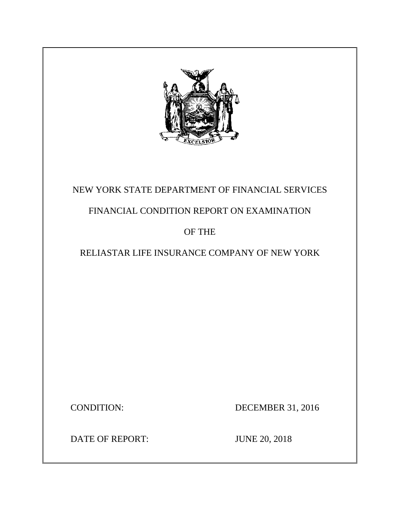

# NEW YORK STATE DEPARTMENT OF FINANCIAL SERVICES

# FINANCIAL CONDITION REPORT ON EXAMINATION

## OF THE

# RELIASTAR LIFE INSURANCE COMPANY OF NEW YORK

CONDITION: DECEMBER 31, 2016

DATE OF REPORT: JUNE 20, 2018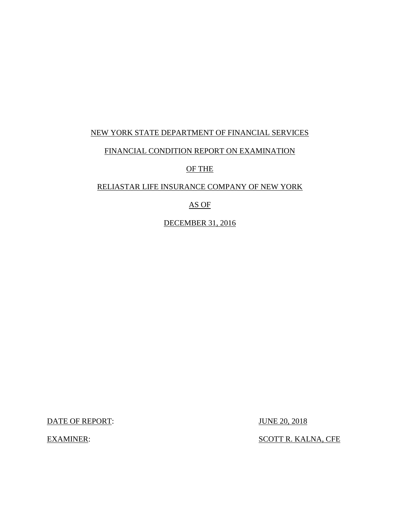## NEW YORK STATE DEPARTMENT OF FINANCIAL SERVICES

### FINANCIAL CONDITION REPORT ON EXAMINATION

OF THE

### RELIASTAR LIFE INSURANCE COMPANY OF NEW YORK

## AS OF

DECEMBER 31, 2016

DATE OF REPORT: JUNE 20, 2018

EXAMINER: SCOTT R. KALNA, CFE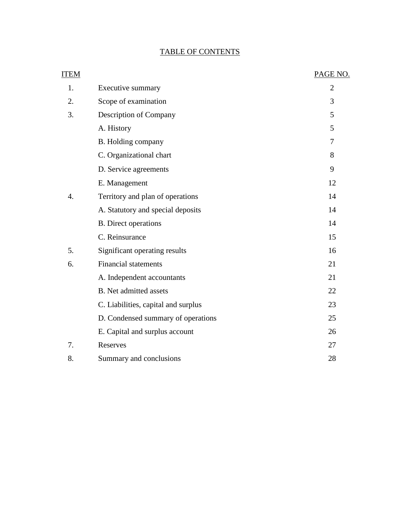## TABLE OF CONTENTS

| ITEM |                                     | PAGE NO.       |
|------|-------------------------------------|----------------|
| 1.   | Executive summary                   | $\overline{2}$ |
| 2.   | Scope of examination                | 3              |
| 3.   | Description of Company              | 5              |
|      | A. History                          | 5              |
|      | B. Holding company                  | 7              |
|      | C. Organizational chart             | 8              |
|      | D. Service agreements               | 9              |
|      | E. Management                       | 12             |
| 4.   | Territory and plan of operations    | 14             |
|      | A. Statutory and special deposits   | 14             |
|      | <b>B.</b> Direct operations         | 14             |
|      | C. Reinsurance                      | 15             |
| 5.   | Significant operating results       | 16             |
| 6.   | <b>Financial statements</b>         | 21             |
|      | A. Independent accountants          | 21             |
|      | <b>B.</b> Net admitted assets       | 22             |
|      | C. Liabilities, capital and surplus | 23             |
|      | D. Condensed summary of operations  | 25             |
|      | E. Capital and surplus account      | 26             |
| 7.   | Reserves                            | 27             |
| 8.   | Summary and conclusions             | 28             |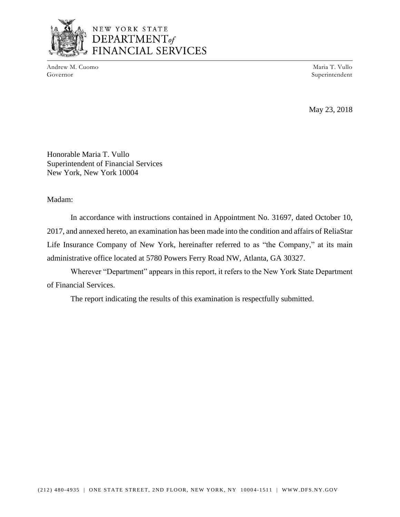

## NEW YORK STATE DEPARTMENT<sub>of</sub> FINANCIAL SERVICES

Andrew M. Cuomo Maria T. Vullo Governor Superintendent

May 23, 2018

Honorable Maria T. Vullo Superintendent of Financial Services New York, New York 10004

Madam:

 2017, and annexed hereto, an examination has been made into the condition and affairs of ReliaStar Life Insurance Company of New York, hereinafter referred to as "the Company," at its main In accordance with instructions contained in Appointment No. 31697, dated October 10, administrative office located at 5780 Powers Ferry Road NW, Atlanta, GA 30327.

 Wherever "Department" appears in this report, it refers to the New York State Department of Financial Services.

The report indicating the results of this examination is respectfully submitted.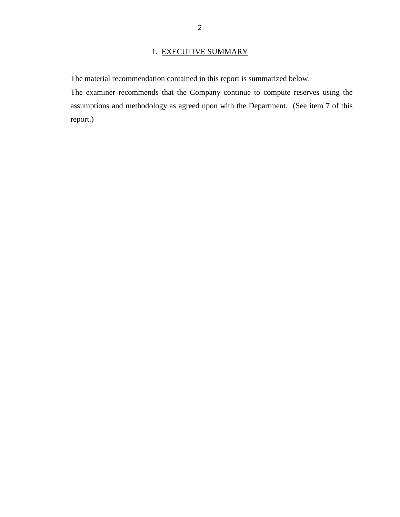## 1. EXECUTIVE SUMMARY

The material recommendation contained in this report is summarized below.

 The examiner recommends that the Company continue to compute reserves using the assumptions and methodology as agreed upon with the Department. (See item 7 of this report.)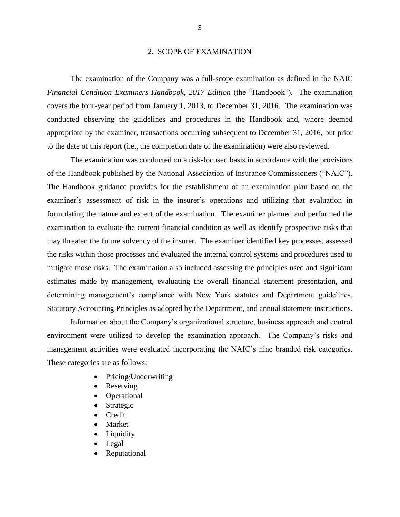#### 2. SCOPE OF EXAMINATION

 The examination of the Company was a full-scope examination as defined in the NAIC covers the four-year period from January 1, 2013, to December 31, 2016. The examination was conducted observing the guidelines and procedures in the Handbook and, where deemed *Financial Condition Examiners Handbook, 2017 Edition (the "Handbook").* The examination appropriate by the examiner, transactions occurring subsequent to December 31, 2016, but prior to the date of this report (i.e., the completion date of the examination) were also reviewed.

 examiner's assessment of risk in the insurer's operations and utilizing that evaluation in formulating the nature and extent of the examination. The examiner planned and performed the examination to evaluate the current financial condition as well as identify prospective risks that may threaten the future solvency of the insurer. The examiner identified key processes, assessed mitigate those risks. The examination also included assessing the principles used and significant estimates made by management, evaluating the overall financial statement presentation, and Statutory Accounting Principles as adopted by the Department, and annual statement instructions. The examination was conducted on a risk-focused basis in accordance with the provisions of the Handbook published by the National Association of Insurance Commissioners ("NAIC"). The Handbook guidance provides for the establishment of an examination plan based on the the risks within those processes and evaluated the internal control systems and procedures used to determining management's compliance with New York statutes and Department guidelines,

 environment were utilized to develop the examination approach. The Company's risks and management activities were evaluated incorporating the NAIC's nine branded risk categories. Information about the Company's organizational structure, business approach and control These categories are as follows:

- Pricing/Underwriting
- **Reserving**
- Operational
- **Strategic**
- Credit
- **Market**
- **Liquidity**
- Legal
- **Reputational**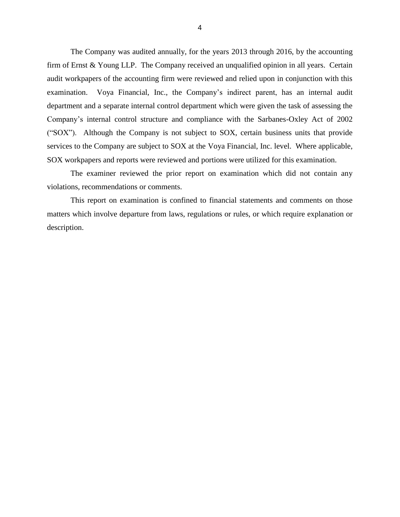The Company was audited annually, for the years 2013 through 2016, by the accounting firm of Ernst & Young LLP. The Company received an unqualified opinion in all years. Certain audit workpapers of the accounting firm were reviewed and relied upon in conjunction with this department and a separate internal control department which were given the task of assessing the Company's internal control structure and compliance with the Sarbanes-Oxley Act of 2002 ("SOX"). Although the Company is not subject to SOX, certain business units that provide services to the Company are subject to SOX at the Voya Financial, Inc. level. Where applicable, examination. Voya Financial, Inc., the Company's indirect parent, has an internal audit SOX workpapers and reports were reviewed and portions were utilized for this examination.

 The examiner reviewed the prior report on examination which did not contain any violations, recommendations or comments.

 matters which involve departure from laws, regulations or rules, or which require explanation or This report on examination is confined to financial statements and comments on those description.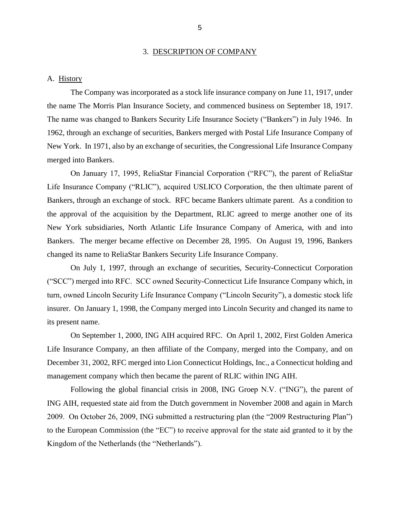#### 3. DESCRIPTION OF COMPANY

#### <span id="page-7-0"></span>A. History

 The Company was incorporated as a stock life insurance company on June 11, 1917, under the name The Morris Plan Insurance Society, and commenced business on September 18, 1917. the name The Morris Plan Insurance Society, and commenced business on September 18, 1917. The name was changed to Bankers Security Life Insurance Society ("Bankers") in July 1946. In New York. In 1971, also by an exchange of securities, the Congressional Life Insurance Company 1962, through an exchange of securities, Bankers merged with Postal Life Insurance Company of merged into Bankers.

 Life Insurance Company ("RLIC"), acquired USLICO Corporation, the then ultimate parent of Bankers, through an exchange of stock. RFC became Bankers ultimate parent. As a condition to the approval of the acquisition by the Department, RLIC agreed to merge another one of its New York subsidiaries, North Atlantic Life Insurance Company of America, with and into Bankers. The merger became effective on December 28, 1995. On August 19, 1996, Bankers changed its name to ReliaStar Bankers Security Life Insurance Company. On January 17, 1995, ReliaStar Financial Corporation ("RFC"), the parent of ReliaStar

 ("SCC") merged into RFC. SCC owned Security-Connecticut Life Insurance Company which, in turn, owned Lincoln Security Life Insurance Company ("Lincoln Security"), a domestic stock life insurer. On January 1, 1998, the Company merged into Lincoln Security and changed its name to On July 1, 1997, through an exchange of securities, Security-Connecticut Corporation its present name.

 Life Insurance Company, an then affiliate of the Company, merged into the Company, and on On September 1, 2000, ING AIH acquired RFC. On April 1, 2002, First Golden America December 31, 2002, RFC merged into Lion Connecticut Holdings, Inc., a Connecticut holding and management company which then became the parent of RLIC within ING AIH.

 2009. On October 26, 2009, ING submitted a restructuring plan (the "2009 Restructuring Plan") Following the global financial crisis in 2008, ING Groep N.V. ("ING"), the parent of ING AIH, requested state aid from the Dutch government in November 2008 and again in March to the European Commission (the "EC") to receive approval for the state aid granted to it by the Kingdom of the Netherlands (the "Netherlands").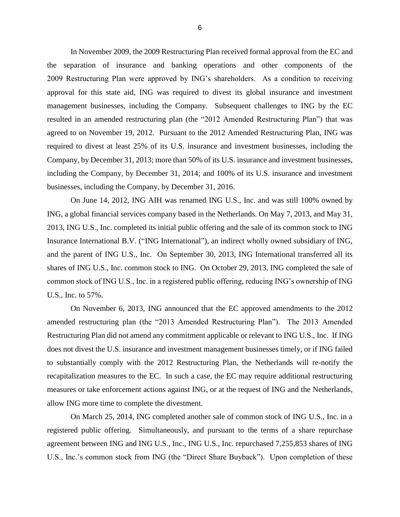2009 Restructuring Plan were approved by ING's shareholders. As a condition to receiving approval for this state aid, ING was required to divest its global insurance and investment management businesses, including the Company. Subsequent challenges to ING by the EC agreed to on November 19, 2012. Pursuant to the 2012 Amended Restructuring Plan, ING was required to divest at least 25% of its U.S. insurance and investment businesses, including the Company, by December 31, 2013; more than 50% of its U.S. insurance and investment businesses, including the Company, by December 31, 2014; and 100% of its U.S. insurance and investment In November 2009, the 2009 Restructuring Plan received formal approval from the EC and the separation of insurance and banking operations and other components of the resulted in an amended restructuring plan (the "2012 Amended Restructuring Plan") that was businesses, including the Company, by December 31, 2016.

 On June 14, 2012, ING AIH was renamed ING U.S., Inc. and was still 100% owned by ING, a global financial services company based in the Netherlands. On May 7, 2013, and May 31, 2013, ING U.S., Inc. completed its initial public offering and the sale of its common stock to ING Insurance International B.V. ("ING International"), an indirect wholly owned subsidiary of ING, and the parent of ING U.S., Inc. On September 30, 2013, ING International transferred all its shares of ING U.S., Inc. common stock to ING. On October 29, 2013, ING completed the sale of common stock of ING U.S., Inc. in a registered public offering, reducing ING's ownership of ING U.S., Inc. to 57%.

 On November 6, 2013, ING announced that the EC approved amendments to the 2012 amended restructuring plan (the "2013 Amended Restructuring Plan"). The 2013 Amended to substantially comply with the 2012 Restructuring Plan, the Netherlands will re-notify the recapitalization measures to the EC. In such a case, the EC may require additional restructuring Restructuring Plan did not amend any commitment applicable or relevant to ING U.S., Inc. If ING does not divest the U.S. insurance and investment management businesses timely, or if ING failed measures or take enforcement actions against ING, or at the request of ING and the Netherlands, allow ING more time to complete the divestment.

 registered public offering. Simultaneously, and pursuant to the terms of a share repurchase U.S., Inc.'s common stock from ING (the "Direct Share Buyback"). Upon completion of theseOn March 25, 2014, ING completed another sale of common stock of ING U.S., Inc. in a agreement between ING and ING U.S., Inc., ING U.S., Inc. repurchased 7,255,853 shares of ING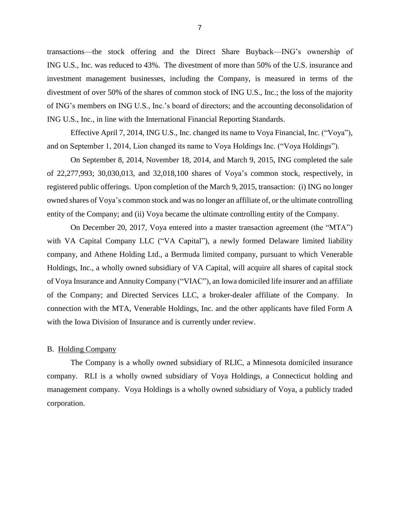<span id="page-9-0"></span> transactions—the stock offering and the Direct Share Buyback—ING's ownership of ING U.S., Inc. was reduced to 43%. The divestment of more than 50% of the U.S. insurance and divestment of over 50% of the shares of common stock of ING U.S., Inc.; the loss of the majority of ING's members on ING U.S., Inc.'s board of directors; and the accounting deconsolidation of investment management businesses, including the Company, is measured in terms of the ING U.S., Inc., in line with the International Financial Reporting Standards.

Effective April 7, 2014, ING U.S., Inc. changed its name to Voya Financial, Inc. ("Voya"), and on September 1, 2014, Lion changed its name to Voya Holdings Inc. ("Voya Holdings").

 On September 8, 2014, November 18, 2014, and March 9, 2015, ING completed the sale registered public offerings. Upon completion of the March 9, 2015, transaction: (i) ING no longer owned shares of Voya's common stock and was no longer an affiliate of, or the ultimate controlling of 22,277,993; 30,030,013, and 32,018,100 shares of Voya's common stock, respectively, in entity of the Company; and (ii) Voya became the ultimate controlling entity of the Company.

 On December 20, 2017, Voya entered into a master transaction agreement (the "MTA") with VA Capital Company LLC ("VA Capital"), a newly formed Delaware limited liability company, and Athene Holding Ltd., a Bermuda limited company, pursuant to which Venerable Holdings, Inc., a wholly owned subsidiary of VA Capital, will acquire all shares of capital stock of Voya Insurance and Annuity Company ("VIAC"), an Iowa domiciled life insurer and an affiliate of the Company; and Directed Services LLC, a broker-dealer affiliate of the Company. In connection with the MTA, Venerable Holdings, Inc. and the other applicants have filed Form A with the Iowa Division of Insurance and is currently under review.

#### B. Holding Company

 The Company is a wholly owned subsidiary of RLIC, a Minnesota domiciled insurance company. RLI is a wholly owned subsidiary of Voya Holdings, a Connecticut holding and management company. Voya Holdings is a wholly owned subsidiary of Voya, a publicly traded corporation.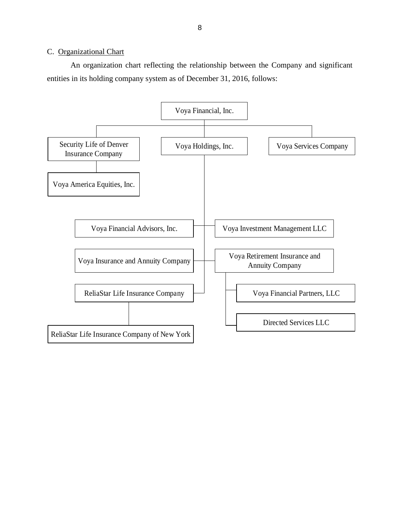### <span id="page-10-0"></span>C. Organizational Chart

 An organization chart reflecting the relationship between the Company and significant entities in its holding company system as of December 31, 2016, follows:

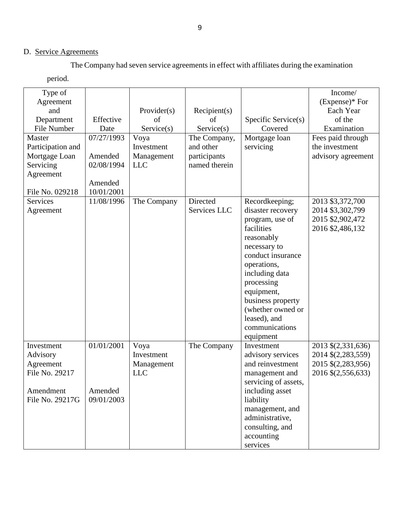## D. Service Agreements

The Company had seven service agreements in effect with affiliates during the examination

period.

| Type of           |            |             |               |                      | Income/            |
|-------------------|------------|-------------|---------------|----------------------|--------------------|
| Agreement         |            |             |               |                      | $(Express)*$ For   |
| and               |            | Provider(s) | Recipient(s)  |                      | Each Year          |
| Department        | Effective  | of          | of            | Specific Service(s)  | of the             |
| File Number       | Date       | Service(s)  | Service(s)    | Covered              | Examination        |
| Master            | 07/27/1993 | Voya        | The Company,  | Mortgage loan        | Fees paid through  |
| Participation and |            | Investment  | and other     | servicing            | the investment     |
| Mortgage Loan     | Amended    | Management  | participants  |                      | advisory agreement |
| Servicing         | 02/08/1994 | <b>LLC</b>  | named therein |                      |                    |
| Agreement         |            |             |               |                      |                    |
|                   | Amended    |             |               |                      |                    |
| File No. 029218   | 10/01/2001 |             |               |                      |                    |
| <b>Services</b>   | 11/08/1996 | The Company | Directed      | Recordkeeping;       | 2013 \$3,372,700   |
| Agreement         |            |             | Services LLC  | disaster recovery    | 2014 \$3,302,799   |
|                   |            |             |               | program, use of      | 2015 \$2,902,472   |
|                   |            |             |               | facilities           | 2016 \$2,486,132   |
|                   |            |             |               | reasonably           |                    |
|                   |            |             |               | necessary to         |                    |
|                   |            |             |               | conduct insurance    |                    |
|                   |            |             |               | operations,          |                    |
|                   |            |             |               | including data       |                    |
|                   |            |             |               | processing           |                    |
|                   |            |             |               | equipment,           |                    |
|                   |            |             |               | business property    |                    |
|                   |            |             |               | (whether owned or    |                    |
|                   |            |             |               | leased), and         |                    |
|                   |            |             |               | communications       |                    |
|                   |            |             |               | equipment            |                    |
| Investment        | 01/01/2001 | Voya        | The Company   | Investment           | 2013 \$(2,331,636) |
| Advisory          |            | Investment  |               | advisory services    | 2014 \$(2,283,559) |
| Agreement         |            | Management  |               | and reinvestment     | 2015 \$(2,283,956) |
| File No. 29217    |            | <b>LLC</b>  |               | management and       | 2016 \$(2,556,633) |
|                   |            |             |               | servicing of assets, |                    |
| Amendment         | Amended    |             |               | including asset      |                    |
| File No. 29217G   | 09/01/2003 |             |               | liability            |                    |
|                   |            |             |               | management, and      |                    |
|                   |            |             |               | administrative,      |                    |
|                   |            |             |               | consulting, and      |                    |
|                   |            |             |               | accounting           |                    |
|                   |            |             |               | services             |                    |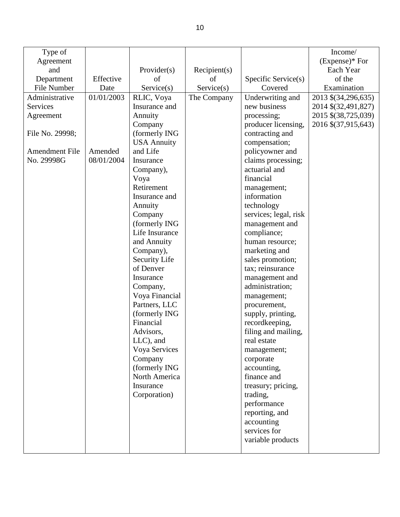| Type of               |            |                    |              |                       | Income/             |
|-----------------------|------------|--------------------|--------------|-----------------------|---------------------|
| Agreement             |            |                    |              |                       | $(Express)*$ For    |
| and                   |            | Provider(s)        | Recipient(s) |                       | Each Year           |
| Department            | Effective  | of                 | of           | Specific Service(s)   | of the              |
| File Number           | Date       | Service(s)         | Service(s)   | Covered               | Examination         |
| Administrative        | 01/01/2003 |                    | The Company  | Underwriting and      |                     |
|                       |            | RLIC, Voya         |              |                       | 2013 \$(34,296,635) |
| Services              |            | Insurance and      |              | new business          | 2014 \$(32,491,827) |
| Agreement             |            | Annuity            |              | processing;           | 2015 \$(38,725,039) |
|                       |            | Company            |              | producer licensing,   | 2016 \$(37,915,643) |
| File No. 29998;       |            | (formerly ING      |              | contracting and       |                     |
|                       |            | <b>USA Annuity</b> |              | compensation;         |                     |
| <b>Amendment File</b> | Amended    | and Life           |              | policyowner and       |                     |
| No. 29998G            | 08/01/2004 | Insurance          |              | claims processing;    |                     |
|                       |            | Company),          |              | actuarial and         |                     |
|                       |            | Voya               |              | financial             |                     |
|                       |            | Retirement         |              | management;           |                     |
|                       |            | Insurance and      |              | information           |                     |
|                       |            | Annuity            |              | technology            |                     |
|                       |            | Company            |              | services; legal, risk |                     |
|                       |            | (formerly ING      |              | management and        |                     |
|                       |            | Life Insurance     |              | compliance;           |                     |
|                       |            | and Annuity        |              | human resource;       |                     |
|                       |            | Company),          |              | marketing and         |                     |
|                       |            | Security Life      |              | sales promotion;      |                     |
|                       |            | of Denver          |              | tax; reinsurance      |                     |
|                       |            | Insurance          |              | management and        |                     |
|                       |            | Company,           |              | administration;       |                     |
|                       |            | Voya Financial     |              | management;           |                     |
|                       |            | Partners, LLC      |              | procurement,          |                     |
|                       |            | (formerly ING      |              | supply, printing,     |                     |
|                       |            | Financial          |              | recordkeeping,        |                     |
|                       |            | Advisors,          |              | filing and mailing,   |                     |
|                       |            | $LLC$ ), and       |              | real estate           |                     |
|                       |            | Voya Services      |              | management;           |                     |
|                       |            | Company            |              | corporate             |                     |
|                       |            | (formerly ING      |              | accounting,           |                     |
|                       |            | North America      |              | finance and           |                     |
|                       |            | Insurance          |              | treasury; pricing,    |                     |
|                       |            | Corporation)       |              | trading,              |                     |
|                       |            |                    |              | performance           |                     |
|                       |            |                    |              | reporting, and        |                     |
|                       |            |                    |              | accounting            |                     |
|                       |            |                    |              | services for          |                     |
|                       |            |                    |              | variable products     |                     |
|                       |            |                    |              |                       |                     |
|                       |            |                    |              |                       |                     |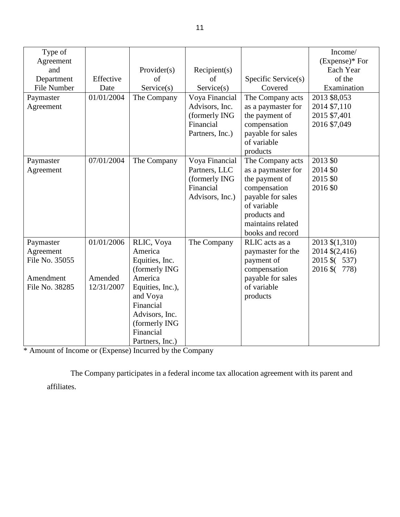| Type of            |            |                       |                 |                     | Income/        |
|--------------------|------------|-----------------------|-----------------|---------------------|----------------|
| Agreement          |            |                       |                 |                     | (Expense)* For |
| and                |            | Provider(s)           | Recipient(s)    |                     | Each Year      |
| Department         | Effective  | of                    | οf              | Specific Service(s) | of the         |
| <b>File Number</b> | Date       | Service(s)            | Service(s)      | Covered             | Examination    |
| Paymaster          | 01/01/2004 | The Company           | Voya Financial  | The Company acts    | 2013 \$8,053   |
| Agreement          |            |                       | Advisors, Inc.  | as a paymaster for  | 2014 \$7,110   |
|                    |            |                       | (formerly ING   | the payment of      | 2015 \$7,401   |
|                    |            |                       | Financial       | compensation        | 2016 \$7,049   |
|                    |            |                       | Partners, Inc.) | payable for sales   |                |
|                    |            |                       |                 | of variable         |                |
|                    |            |                       |                 | products            |                |
| Paymaster          | 07/01/2004 | The Company           | Voya Financial  | The Company acts    | 2013 \$0       |
| Agreement          |            |                       | Partners, LLC   | as a paymaster for  | 2014 \$0       |
|                    |            |                       | (formerly ING   | the payment of      | 2015 \$0       |
|                    |            |                       | Financial       | compensation        | 2016 \$0       |
|                    |            |                       | Advisors, Inc.) | payable for sales   |                |
|                    |            |                       |                 | of variable         |                |
|                    |            |                       |                 | products and        |                |
|                    |            |                       |                 | maintains related   |                |
|                    |            |                       |                 | books and record    |                |
| Paymaster          | 01/01/2006 | RLIC, Voya            | The Company     | RLIC acts as a      | 2013 \$(1,310) |
| Agreement          |            | America               |                 | paymaster for the   | 2014 \$(2,416) |
| File No. 35055     |            | Equities, Inc.        |                 | payment of          | 2015 \$ (537)  |
|                    |            | (formerly ING         |                 | compensation        | 2016 \$ (778)  |
| Amendment          | Amended    | America               |                 | payable for sales   |                |
| File No. 38285     | 12/31/2007 | Equities, Inc.),      |                 | of variable         |                |
|                    |            | and Voya<br>Financial |                 | products            |                |
|                    |            |                       |                 |                     |                |
|                    |            | Advisors, Inc.        |                 |                     |                |
|                    |            | (formerly ING         |                 |                     |                |
|                    |            | Financial             |                 |                     |                |
|                    |            | Partners, Inc.)       |                 |                     |                |

\* Amount of Income or (Expense) Incurred by the Company

 The Company participates in a federal income tax allocation agreement with its parent and affiliates.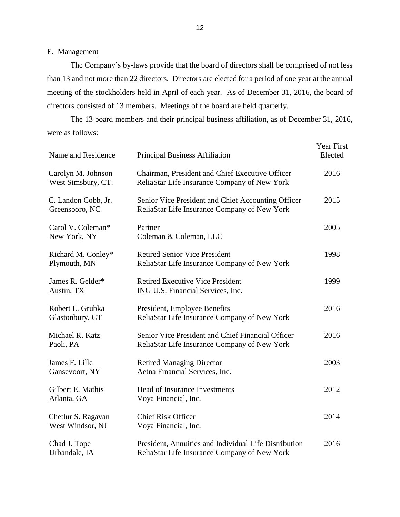### <span id="page-14-0"></span>E. Management

 The Company's by-laws provide that the board of directors shall be comprised of not less than 13 and not more than 22 directors. Directors are elected for a period of one year at the annual meeting of the stockholders held in April of each year. As of December 31, 2016, the board of directors consisted of 13 members. Meetings of the board are held quarterly.

 were as follows: The 13 board members and their principal business affiliation, as of December 31, 2016,

| Name and Residence                       | <b>Principal Business Affiliation</b>                                                                 | <b>Year First</b><br>Elected |
|------------------------------------------|-------------------------------------------------------------------------------------------------------|------------------------------|
| Carolyn M. Johnson<br>West Simsbury, CT. | Chairman, President and Chief Executive Officer<br>ReliaStar Life Insurance Company of New York       | 2016                         |
| C. Landon Cobb, Jr.<br>Greensboro, NC    | Senior Vice President and Chief Accounting Officer<br>ReliaStar Life Insurance Company of New York    | 2015                         |
| Carol V. Coleman*<br>New York, NY        | Partner<br>Coleman & Coleman, LLC                                                                     | 2005                         |
| Richard M. Conley*<br>Plymouth, MN       | <b>Retired Senior Vice President</b><br>ReliaStar Life Insurance Company of New York                  | 1998                         |
| James R. Gelder*<br>Austin, TX           | <b>Retired Executive Vice President</b><br>ING U.S. Financial Services, Inc.                          | 1999                         |
| Robert L. Grubka<br>Glastonbury, CT      | President, Employee Benefits<br>ReliaStar Life Insurance Company of New York                          | 2016                         |
| Michael R. Katz<br>Paoli, PA             | Senior Vice President and Chief Financial Officer<br>ReliaStar Life Insurance Company of New York     | 2016                         |
| James F. Lille<br>Gansevoort, NY         | <b>Retired Managing Director</b><br>Aetna Financial Services, Inc.                                    | 2003                         |
| Gilbert E. Mathis<br>Atlanta, GA         | <b>Head of Insurance Investments</b><br>Voya Financial, Inc.                                          | 2012                         |
| Chetlur S. Ragavan<br>West Windsor, NJ   | <b>Chief Risk Officer</b><br>Voya Financial, Inc.                                                     | 2014                         |
| Chad J. Tope<br>Urbandale, IA            | President, Annuities and Individual Life Distribution<br>ReliaStar Life Insurance Company of New York | 2016                         |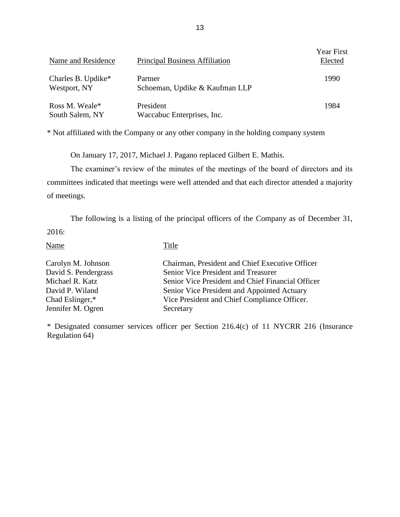| Name and Residence                 | <b>Principal Business Affiliation</b>     | Year First<br>Elected |
|------------------------------------|-------------------------------------------|-----------------------|
| Charles B. Updike*<br>Westport, NY | Partner<br>Schoeman, Updike & Kaufman LLP | 1990                  |
| Ross M. Weale*<br>South Salem, NY  | President<br>Waccabuc Enterprises, Inc.   | 1984                  |

\* Not affiliated with the Company or any other company in the holding company system

On January 17, 2017, Michael J. Pagano replaced Gilbert E. Mathis.

 committees indicated that meetings were well attended and that each director attended a majority The examiner's review of the minutes of the meetings of the board of directors and its of meetings.

 The following is a listing of the principal officers of the Company as of December 31, 2016:

Name Title

| Carolyn M. Johnson   | Chairman, President and Chief Executive Officer   |
|----------------------|---------------------------------------------------|
| David S. Pendergrass | Senior Vice President and Treasurer               |
| Michael R. Katz      | Senior Vice President and Chief Financial Officer |
| David P. Wiland      | Senior Vice President and Appointed Actuary       |
| Chad Eslinger,*      | Vice President and Chief Compliance Officer.      |
| Jennifer M. Ogren    | Secretary                                         |

\* Designated consumer services officer per Section 216.4(c) of 11 NYCRR 216 (Insurance Regulation 64)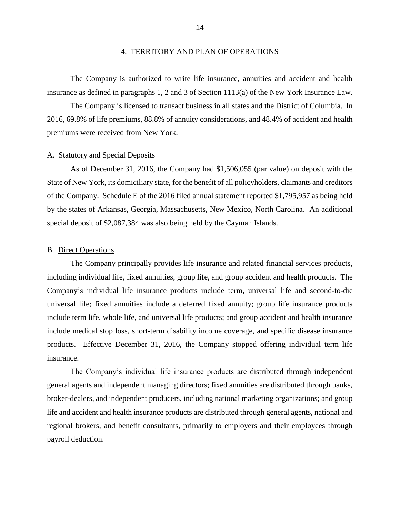<span id="page-16-0"></span> The Company is authorized to write life insurance, annuities and accident and health insurance as defined in paragraphs 1, 2 and 3 of Section 1113(a) of the New York Insurance Law.

 The Company is licensed to transact business in all states and the District of Columbia. In 2016, 69.8% of life premiums, 88.8% of annuity considerations, and 48.4% of accident and health premiums were received from New York.

#### A. Statutory and Special Deposits

 State of New York, its domiciliary state, for the benefit of all policyholders, claimants and creditors of the Company. Schedule E of the 2016 filed annual statement reported \$1,795,957 as being held by the states of Arkansas, Georgia, Massachusetts, New Mexico, North Carolina. An additional As of December 31, 2016, the Company had \$1,506,055 (par value) on deposit with the special deposit of \$2,087,384 was also being held by the Cayman Islands.

#### B. Direct Operations

 The Company principally provides life insurance and related financial services products, Company's individual life insurance products include term, universal life and second-to-die universal life; fixed annuities include a deferred fixed annuity; group life insurance products include term life, whole life, and universal life products; and group accident and health insurance include medical stop loss, short-term disability income coverage, and specific disease insurance products. Effective December 31, 2016, the Company stopped offering individual term life including individual life, fixed annuities, group life, and group accident and health products. The insurance.

 The Company's individual life insurance products are distributed through independent life and accident and health insurance products are distributed through general agents, national and general agents and independent managing directors; fixed annuities are distributed through banks, broker-dealers, and independent producers, including national marketing organizations; and group regional brokers, and benefit consultants, primarily to employers and their employees through payroll deduction.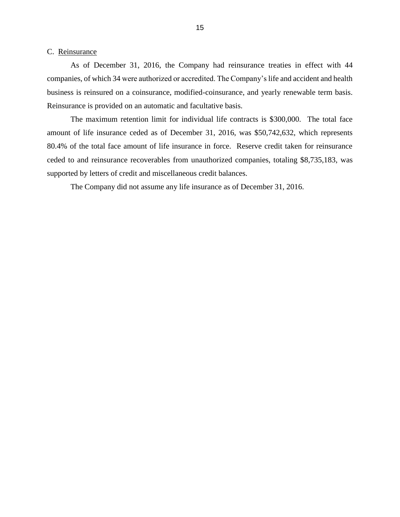#### <span id="page-17-0"></span>C. Reinsurance

 As of December 31, 2016, the Company had reinsurance treaties in effect with 44 business is reinsured on a coinsurance, modified-coinsurance, and yearly renewable term basis. companies, of which 34 were authorized or accredited. The Company's life and accident and health Reinsurance is provided on an automatic and facultative basis.

 The maximum retention limit for individual life contracts is \$300,000. The total face amount of life insurance ceded as of December 31, 2016, was \$50,742,632, which represents 80.4% of the total face amount of life insurance in force. Reserve credit taken for reinsurance ceded to and reinsurance recoverables from unauthorized companies, totaling \$8,735,183, was supported by letters of credit and miscellaneous credit balances.

The Company did not assume any life insurance as of December 31, 2016.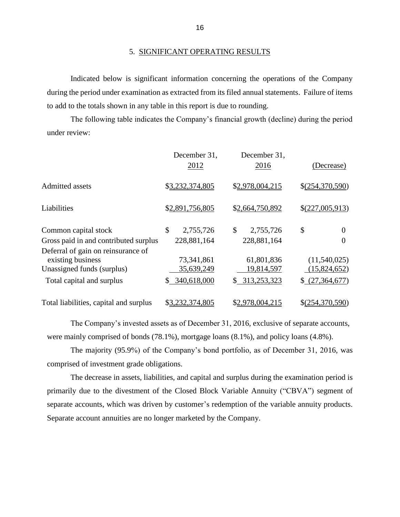#### 5. SIGNIFICANT OPERATING RESULTS

 during the period under examination as extracted from its filed annual statements. Failure of items Indicated below is significant information concerning the operations of the Company to add to the totals shown in any table in this report is due to rounding.

 The following table indicates the Company's financial growth (decline) during the period under review:

|                                                                                       | December 31,<br>2012     | December 31,<br>2016     | (Decrease)                   |
|---------------------------------------------------------------------------------------|--------------------------|--------------------------|------------------------------|
| Admitted assets                                                                       | \$3,232,374,805          | \$2,978,004,215          | \$(254,370,590)              |
| Liabilities                                                                           | \$2,891,756,805          | \$2,664,750,892          | \$(227,005,913)              |
| Common capital stock                                                                  | \$<br>2,755,726          | \$<br>2,755,726          | \$<br>$\Omega$               |
| Gross paid in and contributed surplus                                                 | 228,881,164              | 228,881,164              | 0                            |
| Deferral of gain on reinsurance of<br>existing business<br>Unassigned funds (surplus) | 73,341,861<br>35,639,249 | 61,801,836<br>19,814,597 | (11,540,025)<br>(15,824,652) |
| Total capital and surplus                                                             | 340,618,000<br>\$        | \$ 313,253,323           | \$(27,364,677)               |
| Total liabilities, capital and surplus                                                | \$3,232,374,805          | \$2,978,004,215          | $$$ (254,370,590)            |

The Company's invested assets as of December 31, 2016, exclusive of separate accounts, were mainly comprised of bonds (78.1%), mortgage loans (8.1%), and policy loans (4.8%).

 The majority (95.9%) of the Company's bond portfolio, as of December 31, 2016, was comprised of investment grade obligations.

 primarily due to the divestment of the Closed Block Variable Annuity ("CBVA") segment of The decrease in assets, liabilities, and capital and surplus during the examination period is separate accounts, which was driven by customer's redemption of the variable annuity products. Separate account annuities are no longer marketed by the Company.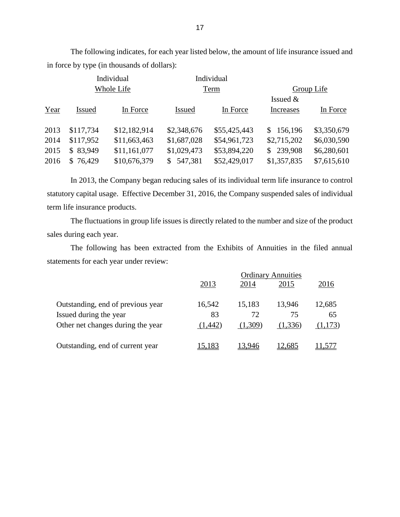The following indicates, for each year listed below, the amount of life insurance issued and in force by type (in thousands of dollars):

| Group Life                 |  |
|----------------------------|--|
|                            |  |
| In Force                   |  |
|                            |  |
| \$3,350,679<br>\$156,196   |  |
| \$2,715,202<br>\$6,030,590 |  |
| 239,908<br>\$6,280,601     |  |
| \$1,357,835<br>\$7,615,610 |  |
| <b>Increases</b>           |  |

 statutory capital usage. Effective December 31, 2016, the Company suspended sales of individual In 2013, the Company began reducing sales of its individual term life insurance to control term life insurance products.

 The fluctuations in group life issues is directly related to the number and size of the product sales during each year.

 The following has been extracted from the Exhibits of Annuities in the filed annual statements for each year under review:

|                                   | <b>Ordinary Annuities</b> |         |         |        |
|-----------------------------------|---------------------------|---------|---------|--------|
|                                   | 2013                      | 2014    | 2015    | 2016   |
|                                   |                           |         |         |        |
| Outstanding, end of previous year | 16,542                    | 15,183  | 13,946  | 12,685 |
| Issued during the year            | 83                        | 72      | 75      | 65     |
| Other net changes during the year | (1,442)                   | (1,309) | (1,336) | ,173)  |
|                                   |                           |         |         |        |
| Outstanding, end of current year  | 5.183                     | 13 946  | .685    |        |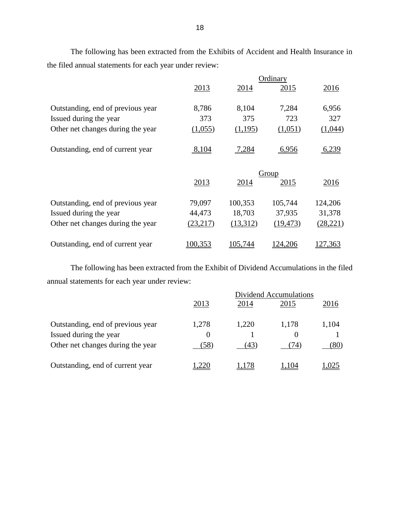The following has been extracted from the Exhibits of Accident and Health Insurance in the filed annual statements for each year under review:

|                                   | Ordinary |          |           |           |
|-----------------------------------|----------|----------|-----------|-----------|
|                                   | 2013     | 2014     | 2015      | 2016      |
| Outstanding, end of previous year | 8,786    | 8,104    | 7,284     | 6,956     |
| Issued during the year            | 373      | 375      | 723       | 327       |
| Other net changes during the year | (1,055)  | (1,195)  | (1,051)   | (1,044)   |
| Outstanding, end of current year  | 8,104    | 7,284    | 6,956     | 6,239     |
|                                   |          |          | Group     |           |
|                                   | 2013     | 2014     | 2015      | 2016      |
| Outstanding, end of previous year | 79,097   | 100,353  | 105,744   | 124,206   |
| Issued during the year            | 44,473   | 18,703   | 37,935    | 31,378    |
| Other net changes during the year | (23,217) | (13,312) | (19, 473) | (28, 221) |
| Outstanding, end of current year  | 100,353  | 105,744  | 124,206   | 27,363    |

 The following has been extracted from the Exhibit of Dividend Accumulations in the filed annual statements for each year under review:

|                                   | Dividend Accumulations |       |          |       |
|-----------------------------------|------------------------|-------|----------|-------|
|                                   | 2013                   | 2014  | 2015     | 2016  |
| Outstanding, end of previous year | 1,278                  | 1,220 | 1,178    | 1,104 |
| Issued during the year            | $\Omega$               |       | $\theta$ |       |
| Other net changes during the year | (58)                   | (43)  | (74)     | (80)  |
| Outstanding, end of current year  |                        | 178   | 04       |       |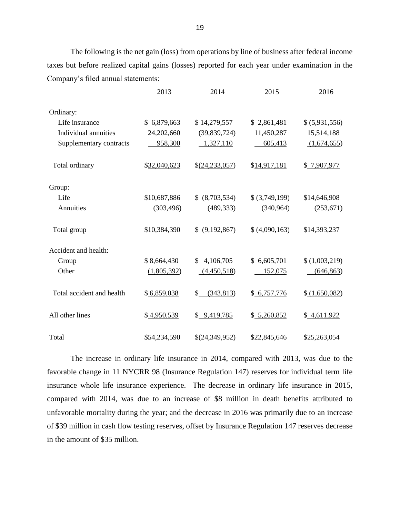The following is the net gain (loss) from operations by line of business after federal income taxes but before realized capital gains (losses) reported for each year under examination in the Company's filed annual statements:

|                           | 2013         | 2014             | 2015           | 2016           |
|---------------------------|--------------|------------------|----------------|----------------|
| Ordinary:                 |              |                  |                |                |
| Life insurance            | \$6,879,663  | \$14,279,557     | \$2,861,481    | \$ (5,931,556) |
| Individual annuities      | 24,202,660   | (39,839,724)     | 11,450,287     | 15,514,188     |
| Supplementary contracts   | 958,300      | 1,327,110        | 605,413        | (1,674,655)    |
| Total ordinary            | \$32,040,623 | \$(24,233,057)   | \$14,917,181   | \$7,907,977    |
| Group:                    |              |                  |                |                |
| Life                      | \$10,687,886 | \$ (8,703,534)   | \$ (3,749,199) | \$14,646,908   |
| Annuities                 | (303, 496)   | (489, 333)       | (340,964)      | (253, 671)     |
| Total group               | \$10,384,390 | \$ (9,192,867)   | \$ (4,090,163) | \$14,393,237   |
| Accident and health:      |              |                  |                |                |
| Group                     | \$8,664,430  | \$4,106,705      | \$6,605,701    | (1,003,219)    |
| Other                     | (1,805,392)  | (4,450,518)      | 152,075        | (646, 863)     |
| Total accident and health | \$6,859,038  | \$<br>(343, 813) | \$6,757,776    | \$(1,650,082)  |
| All other lines           | \$4,950,539  | \$9,419,785      | \$ 5,260,852   | \$4,611,922    |
| Total                     | \$54,234,590 | \$(24,349,952)   | \$22,845,646   | \$25,263,054   |

 The increase in ordinary life insurance in 2014, compared with 2013, was due to the favorable change in 11 NYCRR 98 (Insurance Regulation 147) reserves for individual term life insurance whole life insurance experience. The decrease in ordinary life insurance in 2015, unfavorable mortality during the year; and the decrease in 2016 was primarily due to an increase of \$39 million in cash flow testing reserves, offset by Insurance Regulation 147 reserves decrease compared with 2014, was due to an increase of \$8 million in death benefits attributed to in the amount of \$35 million.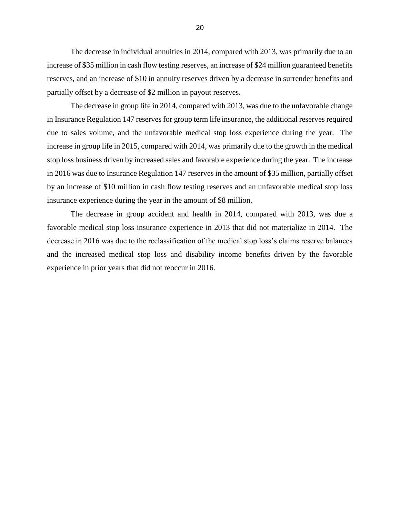increase of \$35 million in cash flow testing reserves, an increase of \$24 million guaranteed benefits reserves, and an increase of \$10 in annuity reserves driven by a decrease in surrender benefits and The decrease in individual annuities in 2014, compared with 2013, was primarily due to an partially offset by a decrease of \$2 million in payout reserves.

 due to sales volume, and the unfavorable medical stop loss experience during the year. The increase in group life in 2015, compared with 2014, was primarily due to the growth in the medical stop loss business driven by increased sales and favorable experience during the year. The increase in 2016 was due to Insurance Regulation 147 reserves in the amount of \$35 million, partially offset by an increase of \$10 million in cash flow testing reserves and an unfavorable medical stop loss The decrease in group life in 2014, compared with 2013, was due to the unfavorable change in Insurance Regulation 147 reserves for group term life insurance, the additional reserves required insurance experience during the year in the amount of \$8 million.

 favorable medical stop loss insurance experience in 2013 that did not materialize in 2014. The decrease in 2016 was due to the reclassification of the medical stop loss's claims reserve balances and the increased medical stop loss and disability income benefits driven by the favorable The decrease in group accident and health in 2014, compared with 2013, was due a experience in prior years that did not reoccur in 2016.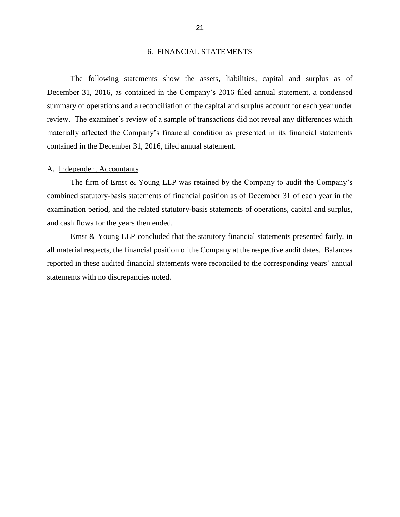#### 6. FINANCIAL STATEMENTS

<span id="page-23-0"></span> The following statements show the assets, liabilities, capital and surplus as of December 31, 2016, as contained in the Company's 2016 filed annual statement, a condensed review. The examiner's review of a sample of transactions did not reveal any differences which summary of operations and a reconciliation of the capital and surplus account for each year under materially affected the Company's financial condition as presented in its financial statements contained in the December 31, 2016, filed annual statement.

#### A. Independent Accountants

 The firm of Ernst & Young LLP was retained by the Company to audit the Company's combined statutory-basis statements of financial position as of December 31 of each year in the examination period, and the related statutory-basis statements of operations, capital and surplus, and cash flows for the years then ended.

 Ernst & Young LLP concluded that the statutory financial statements presented fairly, in all material respects, the financial position of the Company at the respective audit dates. Balances reported in these audited financial statements were reconciled to the corresponding years' annual statements with no discrepancies noted.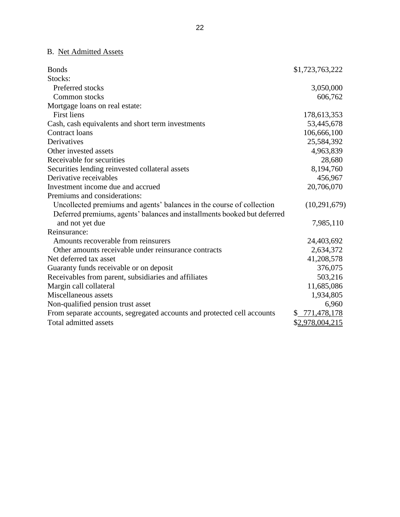## B. Net Admitted Assets

| <b>Bonds</b>                                                             | \$1,723,763,222 |
|--------------------------------------------------------------------------|-----------------|
| Stocks:                                                                  |                 |
| Preferred stocks                                                         | 3,050,000       |
| Common stocks                                                            | 606,762         |
| Mortgage loans on real estate:                                           |                 |
| <b>First liens</b>                                                       | 178,613,353     |
| Cash, cash equivalents and short term investments                        | 53,445,678      |
| Contract loans                                                           | 106,666,100     |
| Derivatives                                                              | 25,584,392      |
| Other invested assets                                                    | 4,963,839       |
| Receivable for securities                                                | 28,680          |
| Securities lending reinvested collateral assets                          | 8,194,760       |
| Derivative receivables                                                   | 456,967         |
| Investment income due and accrued                                        | 20,706,070      |
| Premiums and considerations:                                             |                 |
| Uncollected premiums and agents' balances in the course of collection    | (10, 291, 679)  |
| Deferred premiums, agents' balances and installments booked but deferred |                 |
| and not yet due                                                          | 7,985,110       |
| Reinsurance:                                                             |                 |
| Amounts recoverable from reinsurers                                      | 24,403,692      |
| Other amounts receivable under reinsurance contracts                     | 2,634,372       |
| Net deferred tax asset                                                   | 41,208,578      |
| Guaranty funds receivable or on deposit                                  | 376,075         |
| Receivables from parent, subsidiaries and affiliates                     | 503,216         |
| Margin call collateral                                                   | 11,685,086      |
| Miscellaneous assets                                                     | 1,934,805       |
| Non-qualified pension trust asset                                        | 6,960           |
| From separate accounts, segregated accounts and protected cell accounts  | \$ 771,478,178  |
| Total admitted assets                                                    | \$2,978,004,215 |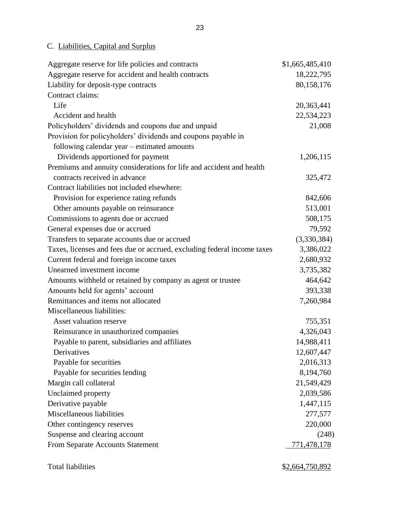C. Liabilities, Capital and Surplus

| Aggregate reserve for life policies and contracts                       | \$1,665,485,410    |
|-------------------------------------------------------------------------|--------------------|
| Aggregate reserve for accident and health contracts                     | 18,222,795         |
| Liability for deposit-type contracts                                    | 80,158,176         |
| Contract claims:                                                        |                    |
| Life                                                                    | 20,363,441         |
| Accident and health                                                     | 22,534,223         |
| Policyholders' dividends and coupons due and unpaid                     | 21,008             |
| Provision for policyholders' dividends and coupons payable in           |                    |
| following calendar year – estimated amounts                             |                    |
| Dividends apportioned for payment                                       | 1,206,115          |
| Premiums and annuity considerations for life and accident and health    |                    |
| contracts received in advance                                           | 325,472            |
| Contract liabilities not included elsewhere:                            |                    |
| Provision for experience rating refunds                                 | 842,606            |
| Other amounts payable on reinsurance                                    | 513,001            |
| Commissions to agents due or accrued                                    | 508,175            |
| General expenses due or accrued                                         | 79,592             |
| Transfers to separate accounts due or accrued                           | (3,330,384)        |
| Taxes, licenses and fees due or accrued, excluding federal income taxes | 3,386,022          |
| Current federal and foreign income taxes                                | 2,680,932          |
| Unearned investment income                                              | 3,735,382          |
| Amounts withheld or retained by company as agent or trustee             | 464,642            |
| Amounts held for agents' account                                        | 393,338            |
| Remittances and items not allocated                                     | 7,260,984          |
| Miscellaneous liabilities:                                              |                    |
| Asset valuation reserve                                                 | 755,351            |
| Reinsurance in unauthorized companies                                   | 4,326,043          |
| Payable to parent, subsidiaries and affiliates                          | 14,988,411         |
| Derivatives                                                             | 12,607,447         |
| Payable for securities                                                  | 2,016,313          |
| Payable for securities lending                                          | 8,194,760          |
| Margin call collateral                                                  | 21,549,429         |
| Unclaimed property                                                      | 2,039,586          |
| Derivative payable                                                      | 1,447,115          |
| Miscellaneous liabilities                                               | 277,577            |
| Other contingency reserves                                              | 220,000            |
| Suspense and clearing account                                           | (248)              |
| From Separate Accounts Statement                                        | <u>771,478,178</u> |
|                                                                         |                    |

Total liabilities  $$2,664,750,892$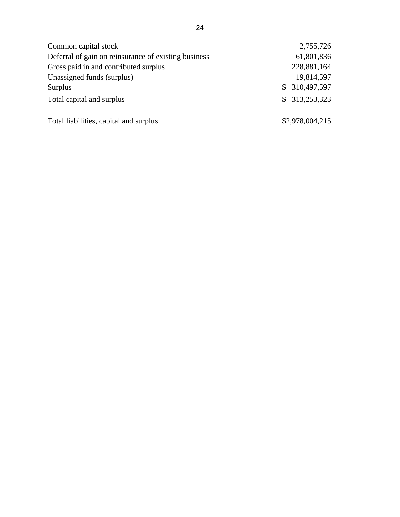| Common capital stock                                 | 2,755,726       |
|------------------------------------------------------|-----------------|
| Deferral of gain on reinsurance of existing business | 61,801,836      |
| Gross paid in and contributed surplus                | 228,881,164     |
| Unassigned funds (surplus)                           | 19,814,597      |
| Surplus                                              | \$ 310,497,597  |
| Total capital and surplus                            | \$313,253,323   |
| Total liabilities, capital and surplus               | \$2,978,004,215 |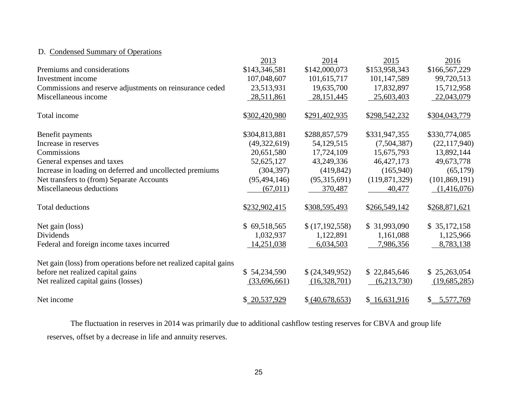## D. Condensed Summary of Operations

|                                                                   | 2013           | 2014            | 2015            | 2016            |
|-------------------------------------------------------------------|----------------|-----------------|-----------------|-----------------|
| Premiums and considerations                                       | \$143,346,581  | \$142,000,073   | \$153,958,343   | \$166,567,229   |
| Investment income                                                 | 107,048,607    | 101,615,717     | 101,147,589     | 99,720,513      |
| Commissions and reserve adjustments on reinsurance ceded          | 23,513,931     | 19,635,700      | 17,832,897      | 15,712,958      |
| Miscellaneous income                                              | 28,511,861     | 28, 151, 445    | 25,603,403      | 22,043,079      |
| Total income                                                      | \$302,420,980  | \$291,402,935   | \$298,542,232   | \$304,043,779   |
| Benefit payments                                                  | \$304,813,881  | \$288,857,579   | \$331,947,355   | \$330,774,085   |
| Increase in reserves                                              | (49, 322, 619) | 54,129,515      | (7,504,387)     | (22, 117, 940)  |
| Commissions                                                       | 20,651,580     | 17,724,109      | 15,675,793      | 13,892,144      |
| General expenses and taxes                                        | 52,625,127     | 43,249,336      | 46, 427, 173    | 49,673,778      |
| Increase in loading on deferred and uncollected premiums          | (304, 397)     | (419, 842)      | (165,940)       | (65,179)        |
| Net transfers to (from) Separate Accounts                         | (95, 494, 146) | (95,315,691)    | (119, 871, 329) | (101, 869, 191) |
| Miscellaneous deductions                                          | (67, 011)      | 370,487         | 40,477          | (1,416,076)     |
| <b>Total deductions</b>                                           | \$232,902,415  | \$308,595,493   | \$266,549,142   | \$268,871,621   |
| Net gain (loss)                                                   | \$69,518,565   | \$(17,192,558)  | \$31,993,090    | \$35,172,158    |
| Dividends                                                         | 1,032,937      | 1,122,891       | 1,161,088       | 1,125,966       |
| Federal and foreign income taxes incurred                         | 14,251,038     | 6,034,503       | 7,986,356       | 8,783,138       |
| Net gain (loss) from operations before net realized capital gains |                |                 |                 |                 |
| before net realized capital gains                                 | \$54,234,590   | \$(24,349,952)  | \$22,845,646    | \$25,263,054    |
| Net realized capital gains (losses)                               | (33,696,661)   | (16,328,701)    | (6,213,730)     | (19,685,285)    |
| Net income                                                        | \$20,537,929   | \$ (40,678,653) | \$16,631,916    | \$ 5,577,769    |

 reserves, offset by a decrease in life and annuity reserves. The fluctuation in reserves in 2014 was primarily due to additional cashflow testing reserves for CBVA and group life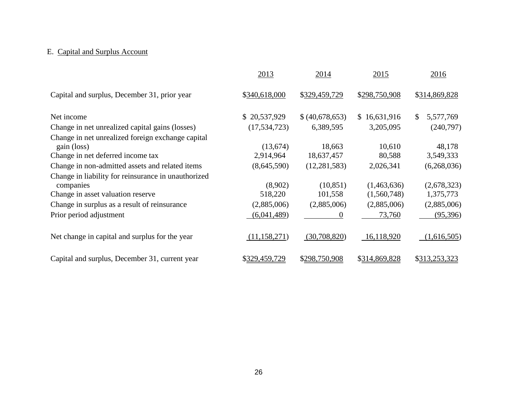## E. Capital and Surplus Account

|                                                                                                       | 2013               | 2014                 | 2015                       | 2016                     |
|-------------------------------------------------------------------------------------------------------|--------------------|----------------------|----------------------------|--------------------------|
| Capital and surplus, December 31, prior year                                                          | \$340,618,000      | \$329,459,729        | \$298,750,908              | \$314,869,828            |
| Net income                                                                                            | \$20,537,929       | \$ (40,678,653)      | \$16,631,916               | S<br>5,577,769           |
| Change in net unrealized capital gains (losses)                                                       | (17, 534, 723)     | 6,389,595            | 3,205,095                  | (240,797)                |
| Change in net unrealized foreign exchange capital<br>gain (loss)                                      | (13,674)           | 18,663               | 10,610                     | 48,178                   |
| Change in net deferred income tax                                                                     | 2,914,964          | 18,637,457           | 80,588                     | 3,549,333                |
| Change in non-admitted assets and related items                                                       | (8,645,590)        | (12, 281, 583)       | 2,026,341                  | (6,268,036)              |
| Change in liability for reinsurance in unauthorized<br>companies<br>Change in asset valuation reserve | (8,902)<br>518,220 | (10, 851)<br>101,558 | (1,463,636)<br>(1,560,748) | (2,678,323)<br>1,375,773 |
| Change in surplus as a result of reinsurance                                                          | (2,885,006)        | (2,885,006)          | (2,885,006)                | (2,885,006)              |
| Prior period adjustment                                                                               | (6,041,489)        | $\Omega$             | 73,760                     | (95,396)                 |
| Net change in capital and surplus for the year                                                        | (11, 158, 271)     | (30,708,820)         | 16,118,920                 | (1,616,505)              |
| Capital and surplus, December 31, current year                                                        | \$329,459,729      | \$298,750,908        | \$314,869,828              | \$313,253,323            |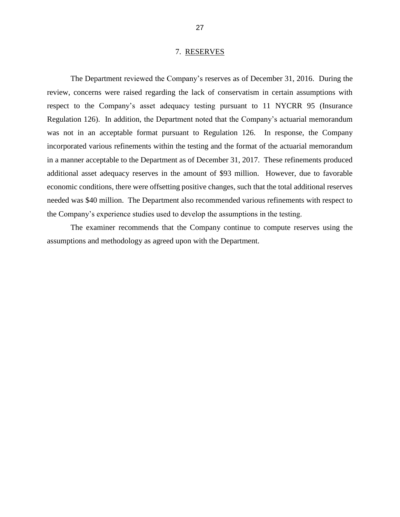#### 7. RESERVES

<span id="page-29-0"></span> respect to the Company's asset adequacy testing pursuant to 11 NYCRR 95 (Insurance economic conditions, there were offsetting positive changes, such that the total additional reserves The Department reviewed the Company's reserves as of December 31, 2016. During the review, concerns were raised regarding the lack of conservatism in certain assumptions with Regulation 126). In addition, the Department noted that the Company's actuarial memorandum was not in an acceptable format pursuant to Regulation 126. In response, the Company incorporated various refinements within the testing and the format of the actuarial memorandum in a manner acceptable to the Department as of December 31, 2017. These refinements produced additional asset adequacy reserves in the amount of \$93 million. However, due to favorable needed was \$40 million. The Department also recommended various refinements with respect to the Company's experience studies used to develop the assumptions in the testing.

 The examiner recommends that the Company continue to compute reserves using the assumptions and methodology as agreed upon with the Department.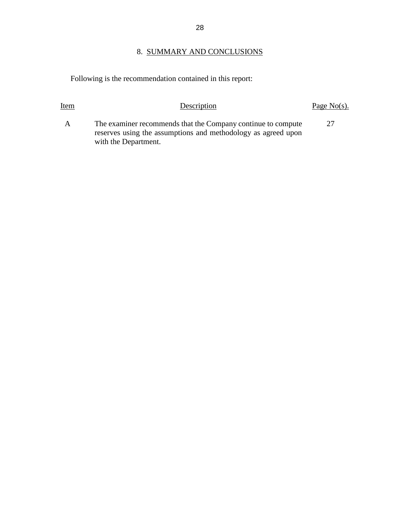## 8. SUMMARY AND CONCLUSIONS

Following is the recommendation contained in this report:

| Item | Description                                                                                                                                           | Page No(s). |
|------|-------------------------------------------------------------------------------------------------------------------------------------------------------|-------------|
| A    | The examiner recommends that the Company continue to compute<br>reserves using the assumptions and methodology as agreed upon<br>with the Department. | 27          |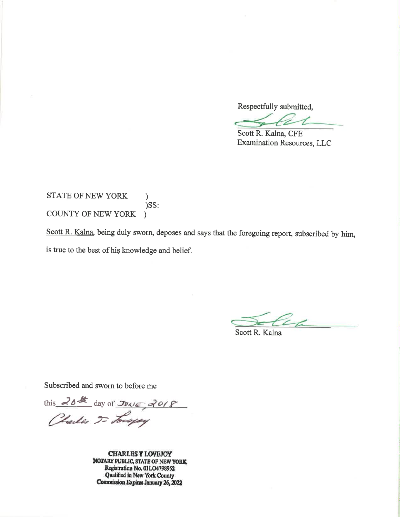Respectfully submitted,

Scott R. Kalna, CFE **Examination Resources, LLC** 

STATE OF NEW YORK  $\mathcal{F}$  $)$ SS: COUNTY OF NEW YORK  $\lambda$ 

Scott R. Kalna, being duly sworn, deposes and says that the foregoing report, subscribed by him, is true to the best of his knowledge and belief.

Scott R. Kalna

Subscribed and sworn to before me

this 20th day of JUNE 2018

**CHARLES T LOVEJOY NOTARY PUBLIC, STATE OF NEW YORK** Registration No. 01LO4798952 Qualified in New York County Commission Expires January 26, 2022